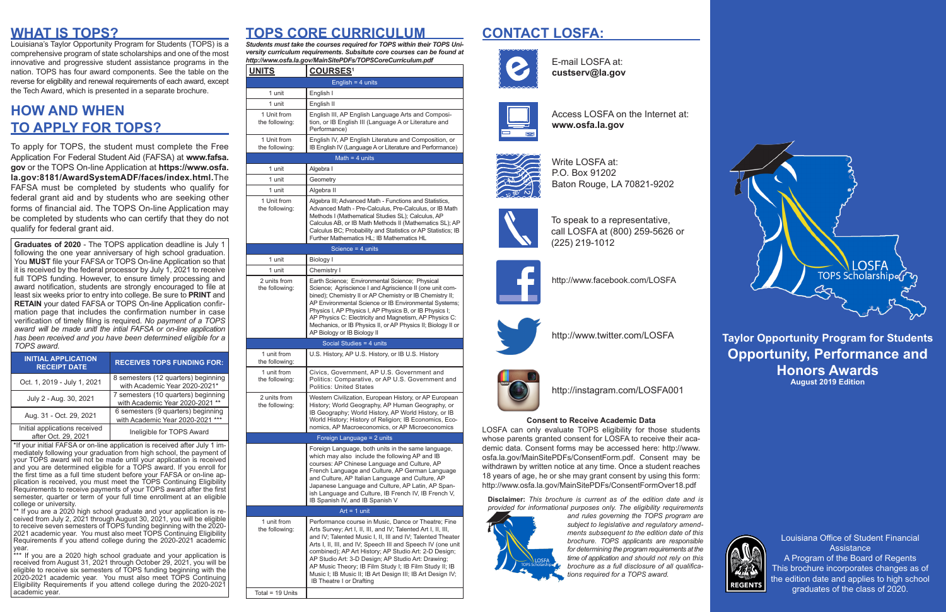### **Taylor Opportunity Program for Students Opportunity, Performance and Honors Awards August 2019 Edition**



Louisiana Office of Student Financial **Assistance** A Program of the Board of Regents This brochure incorporates changes as of the edition date and applies to high school graduates of the class of 2020.

## **CONTACT LOSFA:**



## **HOW AND WHEN TO APPLY FOR TOPS?**

## **WHAT IS TOPS? TOPS CORE CURRICULUM**

To apply for TOPS, the student must complete the Free Application For Federal Student Aid (FAFSA) at **www.fafsa. gov** or the TOPS On-line Application at **https://www.osfa. la.gov:8181/AwardSystemADF/faces/index.html.**The FAFSA must be completed by students who qualify for federal grant aid and by students who are seeking other forms of financial aid. The TOPS On-line Application may be completed by students who can certify that they do not qualify for federal grant aid.

**Graduates of 2020** - The TOPS application deadline is July 1 following the one year anniversary of high school graduation. You **MUST** file your FAFSA or TOPS On-line Application so that it is received by the federal processor by July 1, 2021 to receive full TOPS funding. However, to ensure timely processing and award notification, students are strongly encouraged to file at least six weeks prior to entry into college. Be sure to **PRINT** and **RETAIN** your dated FAFSA or TOPS On-line Application confirmation page that includes the confirmation number in case verification of timely filing is required. *No payment of a TOPS award will be made unitl the intial FAFSA or on-line application has been received and you have been determined eligible for a TOPS award.*

| <b>INITIAL APPLICATION</b><br><b>RECEIPT DATE</b>    | <b>RECEIVES TOPS FUNDING FOR:</b>                                      |
|------------------------------------------------------|------------------------------------------------------------------------|
| Oct. 1, 2019 - July 1, 2021                          | 8 semesters (12 quarters) beginning<br>with Academic Year 2020-2021*   |
| July 2 - Aug. 30, 2021                               | 7 semesters (10 quarters) beginning<br>with Academic Year 2020-2021 ** |
| Aug. 31 - Oct. 29, 2021                              | 6 semesters (9 quarters) beginning<br>with Academic Year 2020-2021     |
| Initial applications received<br>after Oct. 29, 2021 | Ineligible for TOPS Award                                              |

\*If your initial FAFSA or on-line application is received after July 1 immediately following your graduation from high school, the payment of your TOPS award will not be made until your application is received and you are determined eligible for a TOPS award. If you enroll for the first time as a full time student before your FAFSA or on-line application is received, you must meet the TOPS Continuing Eligibility Requirements to receive payments of your TOPS award after the first semester, quarter or term of your full time enrollment at an eligible college or university.

\*\* If you are a 2020 high school graduate and your application is received from July 2, 2021 through August 30, 2021, you will be eligible to receive seven semesters of TOPS funding beginning with the 2020- 2021 academic year. You must also meet TOPS Continuing Eligibility Requirements if you attend college during the 2020-2021 academic year.

\*\*\* If you are a 2020 high school graduate and your application is received from August 31, 2021 through October 29, 2021, you will be eligible to receive six semesters of TOPS funding beginning with the 2020-2021 academic year. You must also meet TOPS Continuing Eligibility Requirements if you attend college during the 2020-2021 academic year.

*Students must take the courses required for TOPS within their TOPS University curriculum requirements. Subsitute core courses can be found at*  http://www.osfa.la.gov/MainSitePDFs/TOPSCoreCurriculum.pdf **E-mail LOSFA at:** 

Louisiana's Taylor Opportunity Program for Students (TOPS) is a comprehensive program of state scholarships and one of the most innovative and progressive student assistance programs in the nation. TOPS has four award components. See the table on the reverse for eligibility and renewal requirements of each award, except the Tech Award, which is presented in a separate brochure.

| <b>UNITS</b>                  | <b>COURSES1</b>                                                                                                                                                                                                                                                                                                                               |  |  |
|-------------------------------|-----------------------------------------------------------------------------------------------------------------------------------------------------------------------------------------------------------------------------------------------------------------------------------------------------------------------------------------------|--|--|
| English = $4$ units           |                                                                                                                                                                                                                                                                                                                                               |  |  |
| 1 unit                        | English I                                                                                                                                                                                                                                                                                                                                     |  |  |
| 1 unit                        | English II                                                                                                                                                                                                                                                                                                                                    |  |  |
| 1 Unit from<br>the following: | English III, AP English Language Arts and Composi-<br>tion, or IB English III (Language A or Literature and<br>Performance)                                                                                                                                                                                                                   |  |  |
| 1 Unit from<br>the following: | English IV, AP English Literature and Composition, or<br>IB English IV (Language A or Literature and Performance)                                                                                                                                                                                                                             |  |  |
| Math $=$ 4 units              |                                                                                                                                                                                                                                                                                                                                               |  |  |
| 1 unit                        | Algebra I                                                                                                                                                                                                                                                                                                                                     |  |  |
| 1 unit                        | Geometry                                                                                                                                                                                                                                                                                                                                      |  |  |
| 1 unit                        | Algebra II                                                                                                                                                                                                                                                                                                                                    |  |  |
| 1 Unit from<br>the following: | Algebra III; Advanced Math - Functions and Statistics,<br>Advanced Math - Pre-Calculus, Pre-Calculus, or IB Math<br>Methods I (Mathematical Studies SL); Calculus, AP<br>Calculus AB, or IB Math Methods II (Mathematics SL); AP<br>Calculus BC; Probability and Statistics or AP Statistics; IB<br>Further Mathematics HL: IB Mathematics HL |  |  |

### Science = 4 units 1 unit Biology I 1 unit Chemistry I 2 units from the following: Earth Science; Environmental Science; Physical Science; Agriscience I and Agriscience II (one unit combined); Chemistry II or AP Chemistry or IB Chemistry II; AP Environmental Science or IB Environmental Systems; Physics I, AP Physics I, AP Physics B, or IB Physics I; AP Physics C: Electricity and Magnetism, AP Physics C: Mechanics, or IB Physics II, or AP Physics II; Biology II or AP Biology or IB Biology II Social Studies = 4 units 1 unit from the following: U.S. History, AP U.S. History, or IB U.S. History 1 unit from the following: Civics, Government, AP U.S. Government and Politics: Comparative, or AP U.S. Government and Politics: United States 2 units from the following: Western Civilization, European History, or AP European History; World Geography, AP Human Geography, or IB Geography; World History, AP World History, or IB World History; History of Religion; IB Economics, Economics, AP Macroeconomics, or AP Microeconomics Foreign Language = 2 units Foreign Language, both units in the same language, which may also include the following AP and IB courses: AP Chinese Language and Culture, AP French Language and Culture, AP German Language and Culture, AP Italian Language and Culture, AP Japanese Language and Culture, AP Latin, AP Spanish Language and Culture, IB French IV, IB French V, IB Spanish IV, and IB Spanish V Art =  $1$  unit 1 unit from the following: Performance course in Music, Dance or Theatre; Fine Arts Survey; Art I, II, III, and IV; Talented Art I, II, III, and IV; Talented Music I, II, III and IV; Talented Theater Arts I, II, III, and IV; Speech III and Speech IV (one unit combined); AP Art History; AP Studio Art: 2-D Design; AP Studio Art: 3-D Design; AP Studio Art: Drawing; AP Music Theory; IB Film Study I; IB Film Study II; IB Music I; IB Music II; IB Art Design III; IB Art Design IV; IB Theatre I or Drafting

### Total =  $19$  Units

**custserv@la.gov**



Access LOSFA on the Internet at: **www.osfa.la.gov**







To speak to a representative, call LOSFA at (800) 259-5626 or (225) 219-1012

*brochure as a full disclosure of all qualifications required for a TOPS award.*



http://www.facebook.com/LOSFA



**Disclaimer:** *This brochure is current as of the edition date and is provided for informational purposes only. The eligibility requirements and rules governing the TOPS program are subject to legislative and regulatory amendments subsequent to the edition date of this brochure. TOPS applicants are responsible for determining the program requirements at the time of application and should not rely on this*  LOSFA can only evaluate TOPS eligibility for those students whose parents granted consent for LOSFA to receive their academic data. Consent forms may be accessed here: http://www. osfa.la.gov/MainSitePDFs/ConsentForm.pdf. Consent may be withdrawn by written notice at any time. Once a student reaches 18 years of age, he or she may grant consent by using this form: http://www.osfa.la.gov/MainSitePDFs/ConsentFormOver18.pdf



http://www.twitter.com/LOSFA



http://instagram.com/LOSFA001

### **Consent to Receive Academic Data**